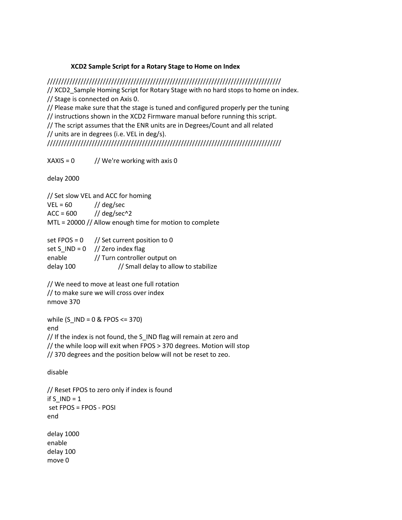## **XCD2 Sample Script for a Rotary Stage to Home on Index**

//////////////////////////////////////////////////////////////////////////////////// // XCD2\_Sample Homing Script for Rotary Stage with no hard stops to home on index. // Stage is connected on Axis 0. // Please make sure that the stage is tuned and configured properly per the tuning // instructions shown in the XCD2 Firmware manual before running this script. // The script assumes that the ENR units are in Degrees/Count and all related // units are in degrees (i.e. VEL in deg/s). ////////////////////////////////////////////////////////////////////////////////////

 $XAXIS = 0$  // We're working with axis 0

delay 2000

// Set slow VEL and ACC for homing  $VEL = 60$  // deg/sec  $ACC = 600$  // deg/sec^2 MTL = 20000 // Allow enough time for motion to complete

|           | set FPOS = $0$ // Set current position to 0 |
|-----------|---------------------------------------------|
|           | set S $IND = 0$ // Zero index flag          |
| enable    | // Turn controller output on                |
| delay 100 | // Small delay to allow to stabilize        |

// We need to move at least one full rotation // to make sure we will cross over index nmove 370

while  $(S$  IND = 0 & FPOS <= 370) end // If the index is not found, the S\_IND flag will remain at zero and // the while loop will exit when FPOS > 370 degrees. Motion will stop // 370 degrees and the position below will not be reset to zeo.

disable

// Reset FPOS to zero only if index is found if  $S$ \_IND = 1 set FPOS = FPOS - POSI end delay 1000 enable delay 100 move 0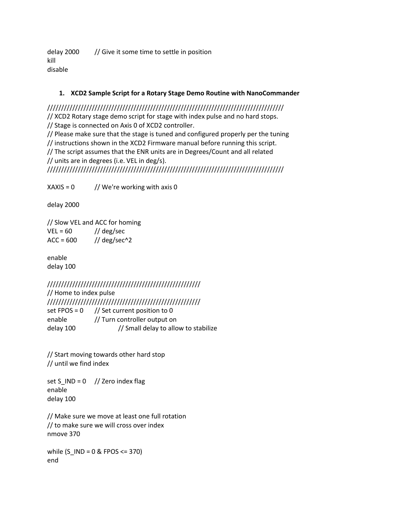delay 2000 // Give it some time to settle in position kill disable

## **1. XCD2 Sample Script for a Rotary Stage Demo Routine with NanoCommander**

///////////////////////////////////////////////////////////////////////////////////// // XCD2 Rotary stage demo script for stage with index pulse and no hard stops.

// Stage is connected on Axis 0 of XCD2 controller.

// Please make sure that the stage is tuned and configured properly per the tuning // instructions shown in the XCD2 Firmware manual before running this script. // The script assumes that the ENR units are in Degrees/Count and all related // units are in degrees (i.e. VEL in deg/s).

/////////////////////////////////////////////////////////////////////////////////////

 $XAXIS = 0$  // We're working with axis 0

delay 2000

// Slow VEL and ACC for homing  $VEL = 60$  // deg/sec  $ACC = 600$  // deg/sec^2

enable delay 100

/////////////////////////////////////////////////////// // Home to index pulse /////////////////////////////////////////////////////// set FPOS =  $0$  // Set current position to 0 enable // Turn controller output on delay 100 // Small delay to allow to stabilize

// Start moving towards other hard stop // until we find index

set  $S$ \_IND = 0 // Zero index flag enable delay 100

// Make sure we move at least one full rotation // to make sure we will cross over index nmove 370

while (S\_IND = 0 & FPOS <= 370) end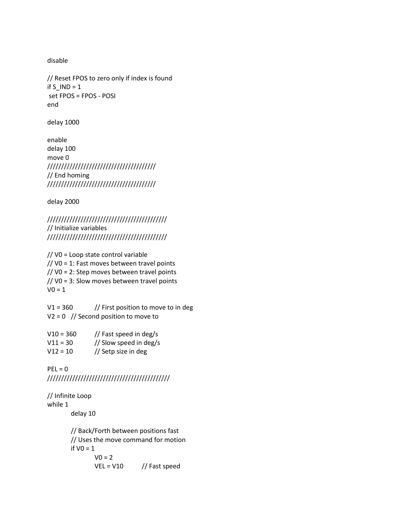disable

// Reset FPOS to zero only if index is found if  $S$   $IND = 1$ set FPOS = FPOS - POSI end

delay 1000

enable delay 100 move 0 /////////////////////////////////////// // End homing ///////////////////////////////////////

delay 2000

/////////////////////////////////////////// // Initialize variables ///////////////////////////////////////////

// V0 = Loop state control variable // V0 = 1: Fast moves between travel points // V0 = 2: Step moves between travel points // V0 = 3: Slow moves between travel points  $V0 = 1$ 

 $V1 = 360$  // First position to move to in deg  $V2 = 0$  // Second position to move to

| $V10 = 360$ | // Fast speed in deg/s |
|-------------|------------------------|
| $V11 = 30$  | // Slow speed in deg/s |
| $V12 = 10$  | // Setp size in deg    |

 $PEL = 0$ ////////////////////////////////////////////

// Infinite Loop while 1

delay 10

// Back/Forth between positions fast // Uses the move command for motion if  $VO = 1$  $V0 = 2$  $VEL = V10$  // Fast speed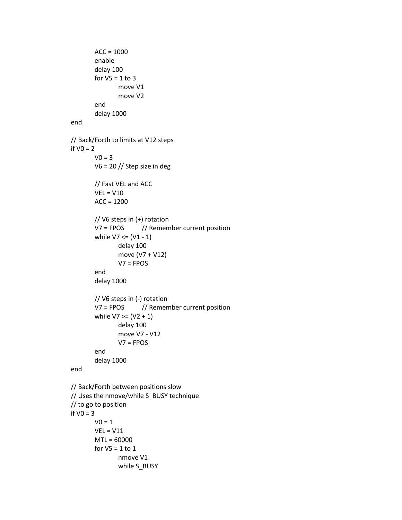```
ACC = 1000enable
       delay 100
       for V5 = 1 to 3
               move V1
               move V2
       end
       delay 1000
end
// Back/Forth to limits at V12 steps
if VO = 2VO = 3V6 = 20 // Step size in deg
       // Fast VEL and ACC
       VEL = V10ACC = 1200
       // V6 steps in (+) rotation
       V7 = FPOS // Remember current position
       while V7 \leq (V1 - 1)delay 100
               move (V7 + V12)
               V7 = FPOS 
       end
       delay 1000
       // V6 steps in (-) rotation
       V7 = FPOS // Remember current position
       while V7 >= (V2 + 1)delay 100
               move V7 - V12
               V7 = FPOS 
       end
       delay 1000
end
// Back/Forth between positions slow
// Uses the nmove/while S_BUSY technique
// to go to position 
if VO = 3V0 = 1VEL = V11
       MTL = 60000
       for V5 = 1 to 1
               nmove V1
               while S_BUSY
```